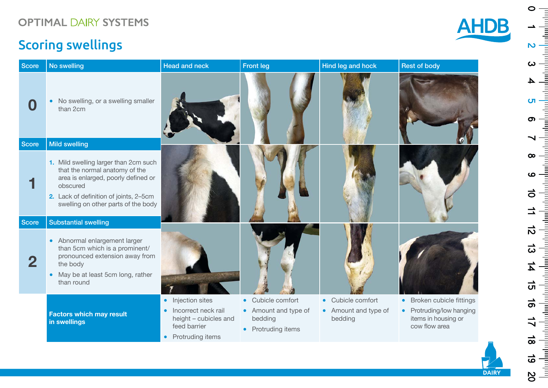## Scoring swellings

Score **Secore** 

Score Substantial Score

| <b>AHDB</b> |
|-------------|
|             |
|             |

| <b>Score</b> | No swelling                                                                                                                                                                                                 | <b>Head and neck</b>                                                               | <b>Front leg</b>                                      | Hind leg and hock               | <b>Rest of body</b>                                              |
|--------------|-------------------------------------------------------------------------------------------------------------------------------------------------------------------------------------------------------------|------------------------------------------------------------------------------------|-------------------------------------------------------|---------------------------------|------------------------------------------------------------------|
| 0            | No swelling, or a swelling smaller<br>than 2cm                                                                                                                                                              |                                                                                    |                                                       |                                 |                                                                  |
| <b>Score</b> | <b>Mild swelling</b>                                                                                                                                                                                        |                                                                                    |                                                       |                                 |                                                                  |
|              | 1. Mild swelling larger than 2cm such<br>that the normal anatomy of the<br>area is enlarged, poorly defined or<br>obscured<br>2. Lack of definition of joints, 2-5cm<br>swelling on other parts of the body |                                                                                    |                                                       |                                 |                                                                  |
| <b>Score</b> | <b>Substantial swelling</b>                                                                                                                                                                                 |                                                                                    |                                                       |                                 |                                                                  |
| $\mathbf{2}$ | • Abnormal enlargement larger<br>than 5cm which is a prominent/<br>pronounced extension away from<br>the body<br>May be at least 5cm long, rather<br>$\bullet$<br>than round                                |                                                                                    |                                                       |                                 |                                                                  |
|              |                                                                                                                                                                                                             | • Injection sites                                                                  | • Cubicle comfort                                     | • Cubicle comfort               | Broken cubicle fittings<br>$\bullet$                             |
|              | <b>Factors which may result</b><br>in swellings                                                                                                                                                             | Incorrect neck rail<br>height - cubicles and<br>feed barrier<br>• Protruding items | • Amount and type of<br>bedding<br>• Protruding items | • Amount and type of<br>bedding | • Protruding/low hanging<br>items in housing or<br>cow flow area |

 $\circ$